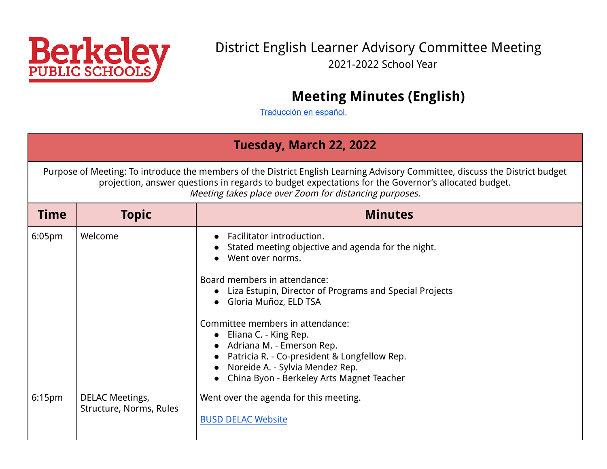<span id="page-0-0"></span>

### District English Learner Advisory Committee Meeting 2021-2022 School Year

# **Meeting Minutes (English)**

[Traducción](#page-6-0) en español.

#### **Tuesday, March 22, 2022**

Purpose of Meeting: To introduce the members of the District English Learning Advisory Committee, discuss the District budget projection, answer questions in regards to budget expectations for the Governor's allocated budget. Meeting takes place over Zoom for distancing purposes.

| <b>Time</b> | <b>Topic</b>                                      | <b>Minutes</b>                                                                                                                                                                                                                                                                                                                                                                                                                                                                                                                   |
|-------------|---------------------------------------------------|----------------------------------------------------------------------------------------------------------------------------------------------------------------------------------------------------------------------------------------------------------------------------------------------------------------------------------------------------------------------------------------------------------------------------------------------------------------------------------------------------------------------------------|
| 6:05pm      | Welcome                                           | Facilitator introduction.<br>Stated meeting objective and agenda for the night.<br>$\bullet$<br>Went over norms.<br>$\bullet$<br>Board members in attendance:<br>Liza Estupin, Director of Programs and Special Projects<br>Gloria Muñoz, ELD TSA<br>$\bullet$<br>Committee members in attendance:<br>$\bullet$ Eliana C. - King Rep.<br>• Adriana M. - Emerson Rep.<br>Patricia R. - Co-president & Longfellow Rep.<br>$\bullet$<br>• Noreide A. - Sylvia Mendez Rep.<br>China Byon - Berkeley Arts Magnet Teacher<br>$\bullet$ |
| 6:15pm      | <b>DELAC Meetings,</b><br>Structure, Norms, Rules | Went over the agenda for this meeting.<br><b>BUSD DELAC Website</b>                                                                                                                                                                                                                                                                                                                                                                                                                                                              |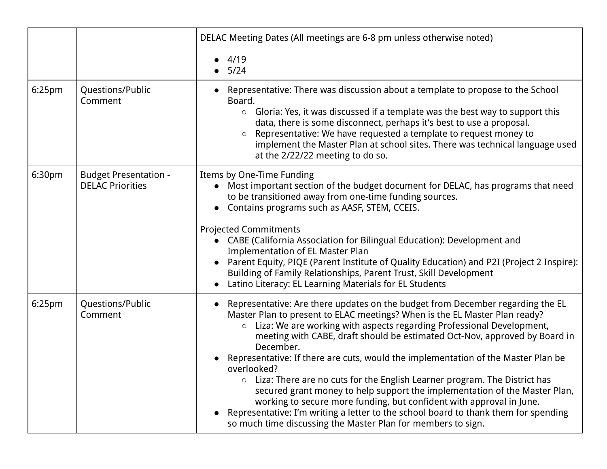|                    |                                                         | DELAC Meeting Dates (All meetings are 6-8 pm unless otherwise noted)                                                                                                                                                                                                                                                                                                                                                                                                                                                                                                                                                                                                                                                                                                                                                                                          |
|--------------------|---------------------------------------------------------|---------------------------------------------------------------------------------------------------------------------------------------------------------------------------------------------------------------------------------------------------------------------------------------------------------------------------------------------------------------------------------------------------------------------------------------------------------------------------------------------------------------------------------------------------------------------------------------------------------------------------------------------------------------------------------------------------------------------------------------------------------------------------------------------------------------------------------------------------------------|
|                    |                                                         | 4/19<br>5/24                                                                                                                                                                                                                                                                                                                                                                                                                                                                                                                                                                                                                                                                                                                                                                                                                                                  |
| 6:25pm             | Questions/Public<br>Comment                             | Representative: There was discussion about a template to propose to the School<br>Board.<br>Gloria: Yes, it was discussed if a template was the best way to support this<br>$\bigcirc$<br>data, there is some disconnect, perhaps it's best to use a proposal.<br>Representative: We have requested a template to request money to<br>$\circ$<br>implement the Master Plan at school sites. There was technical language used<br>at the 2/22/22 meeting to do so.                                                                                                                                                                                                                                                                                                                                                                                             |
| 6:30pm             | <b>Budget Presentation -</b><br><b>DELAC Priorities</b> | Items by One-Time Funding<br>Most important section of the budget document for DELAC, has programs that need<br>to be transitioned away from one-time funding sources.<br>Contains programs such as AASF, STEM, CCEIS.<br>$\bullet$<br><b>Projected Commitments</b><br>CABE (California Association for Bilingual Education): Development and<br>$\bullet$<br><b>Implementation of EL Master Plan</b><br>Parent Equity, PIQE (Parent Institute of Quality Education) and P2I (Project 2 Inspire):<br>Building of Family Relationships, Parent Trust, Skill Development<br>Latino Literacy: EL Learning Materials for EL Students                                                                                                                                                                                                                              |
| 6:25 <sub>pm</sub> | Questions/Public<br>Comment                             | Representative: Are there updates on the budget from December regarding the EL<br>$\bullet$<br>Master Plan to present to ELAC meetings? When is the EL Master Plan ready?<br>Liza: We are working with aspects regarding Professional Development,<br>$\circ$<br>meeting with CABE, draft should be estimated Oct-Nov, approved by Board in<br>December.<br>Representative: If there are cuts, would the implementation of the Master Plan be<br>Shaylondre<br>$\circ$ Liza: There are no cuts for the English Learner program. The District has<br>secured grant money to help support the implementation of the Master Plan,<br>working to secure more funding, but confident with approval in June.<br>Representative: I'm writing a letter to the school board to thank them for spending<br>so much time discussing the Master Plan for members to sign. |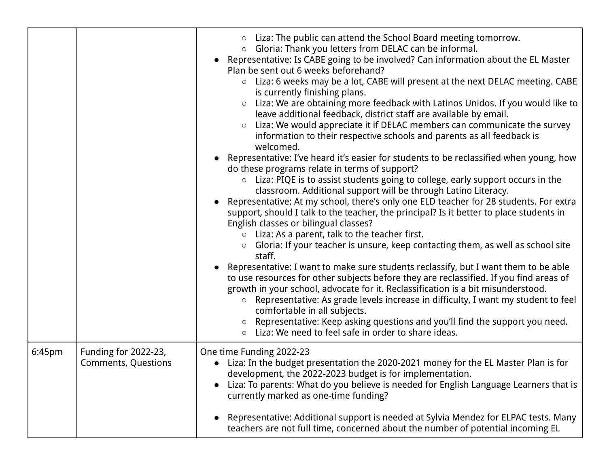|        |                                                    | Liza: The public can attend the School Board meeting tomorrow.<br>Gloria: Thank you letters from DELAC can be informal.<br>$\circ$<br>Representative: Is CABE going to be involved? Can information about the EL Master<br>Plan be sent out 6 weeks beforehand?<br>○ Liza: 6 weeks may be a lot, CABE will present at the next DELAC meeting. CABE<br>is currently finishing plans.<br>Liza: We are obtaining more feedback with Latinos Unidos. If you would like to<br>$\circ$<br>leave additional feedback, district staff are available by email.<br>Liza: We would appreciate it if DELAC members can communicate the survey<br>$\bigcirc$<br>information to their respective schools and parents as all feedback is<br>welcomed.<br>Representative: I've heard it's easier for students to be reclassified when young, how<br>do these programs relate in terms of support?<br>Liza: PIQE is to assist students going to college, early support occurs in the<br>$\bigcirc$<br>classroom. Additional support will be through Latino Literacy.<br>Representative: At my school, there's only one ELD teacher for 28 students. For extra<br>support, should I talk to the teacher, the principal? Is it better to place students in<br>English classes or bilingual classes?<br>Liza: As a parent, talk to the teacher first.<br>Gloria: If your teacher is unsure, keep contacting them, as well as school site<br>$\circ$<br>staff.<br>Representative: I want to make sure students reclassify, but I want them to be able<br>to use resources for other subjects before they are reclassified. If you find areas of<br>growth in your school, advocate for it. Reclassification is a bit misunderstood.<br>Representative: As grade levels increase in difficulty, I want my student to feel<br>$\circ$<br>comfortable in all subjects.<br>○ Representative: Keep asking questions and you'll find the support you need.<br>Liza: We need to feel safe in order to share ideas.<br>$\circ$ |
|--------|----------------------------------------------------|---------------------------------------------------------------------------------------------------------------------------------------------------------------------------------------------------------------------------------------------------------------------------------------------------------------------------------------------------------------------------------------------------------------------------------------------------------------------------------------------------------------------------------------------------------------------------------------------------------------------------------------------------------------------------------------------------------------------------------------------------------------------------------------------------------------------------------------------------------------------------------------------------------------------------------------------------------------------------------------------------------------------------------------------------------------------------------------------------------------------------------------------------------------------------------------------------------------------------------------------------------------------------------------------------------------------------------------------------------------------------------------------------------------------------------------------------------------------------------------------------------------------------------------------------------------------------------------------------------------------------------------------------------------------------------------------------------------------------------------------------------------------------------------------------------------------------------------------------------------------------------------------------------------------------------------------------------------------------------------------------|
| 6:45pm | Funding for 2022-23,<br><b>Comments, Questions</b> | One time Funding 2022-23<br>• Liza: In the budget presentation the 2020-2021 money for the EL Master Plan is for<br>development, the 2022-2023 budget is for implementation.<br>Liza: To parents: What do you believe is needed for English Language Learners that is<br>$\bullet$<br>currently marked as one-time funding?<br>Representative: Additional support is needed at Sylvia Mendez for ELPAC tests. Many<br>teachers are not full time, concerned about the number of potential incoming EL                                                                                                                                                                                                                                                                                                                                                                                                                                                                                                                                                                                                                                                                                                                                                                                                                                                                                                                                                                                                                                                                                                                                                                                                                                                                                                                                                                                                                                                                                             |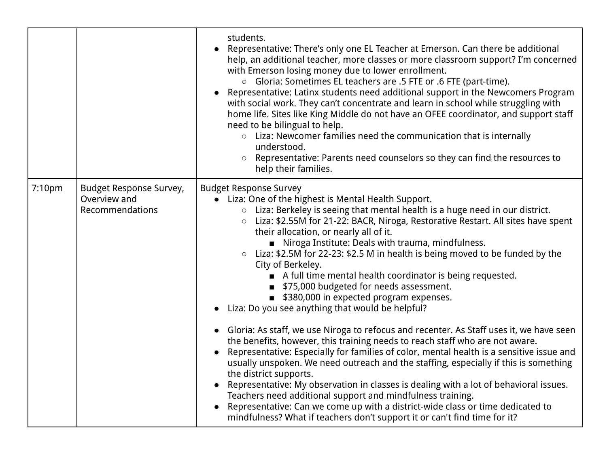|        |                                                            | students.<br>Representative: There's only one EL Teacher at Emerson. Can there be additional<br>help, an additional teacher, more classes or more classroom support? I'm concerned<br>with Emerson losing money due to lower enrollment.<br>○ Gloria: Sometimes EL teachers are .5 FTE or .6 FTE (part-time).<br>Representative: Latinx students need additional support in the Newcomers Program<br>with social work. They can't concentrate and learn in school while struggling with<br>home life. Sites like King Middle do not have an OFEE coordinator, and support staff<br>need to be bilingual to help.<br>○ Liza: Newcomer families need the communication that is internally<br>understood.<br>○ Representative: Parents need counselors so they can find the resources to<br>help their families.                                                                                                                                                                                                                                                                                                                                                                                                                                                                                                                                                                                                                              |
|--------|------------------------------------------------------------|--------------------------------------------------------------------------------------------------------------------------------------------------------------------------------------------------------------------------------------------------------------------------------------------------------------------------------------------------------------------------------------------------------------------------------------------------------------------------------------------------------------------------------------------------------------------------------------------------------------------------------------------------------------------------------------------------------------------------------------------------------------------------------------------------------------------------------------------------------------------------------------------------------------------------------------------------------------------------------------------------------------------------------------------------------------------------------------------------------------------------------------------------------------------------------------------------------------------------------------------------------------------------------------------------------------------------------------------------------------------------------------------------------------------------------------------|
| 7:10pm | Budget Response Survey,<br>Overview and<br>Recommendations | <b>Budget Response Survey</b><br>Liza: One of the highest is Mental Health Support.<br>$\bullet$<br>○ Liza: Berkeley is seeing that mental health is a huge need in our district.<br>Liza: \$2.55M for 21-22: BACR, Niroga, Restorative Restart. All sites have spent<br>$\circ$<br>their allocation, or nearly all of it.<br>Niroga Institute: Deals with trauma, mindfulness.<br>○ Liza: \$2.5M for 22-23: \$2.5 M in health is being moved to be funded by the<br>City of Berkeley.<br>A full time mental health coordinator is being requested.<br>■ \$75,000 budgeted for needs assessment.<br>■ \$380,000 in expected program expenses.<br>Liza: Do you see anything that would be helpful?<br>$\bullet$<br>Gloria: As staff, we use Niroga to refocus and recenter. As Staff uses it, we have seen<br>$\bullet$<br>the benefits, however, this training needs to reach staff who are not aware.<br>Representative: Especially for families of color, mental health is a sensitive issue and<br>usually unspoken. We need outreach and the staffing, especially if this is something<br>the district supports.<br>Representative: My observation in classes is dealing with a lot of behavioral issues.<br>Teachers need additional support and mindfulness training.<br>Representative: Can we come up with a district-wide class or time dedicated to<br>mindfulness? What if teachers don't support it or can't find time for it? |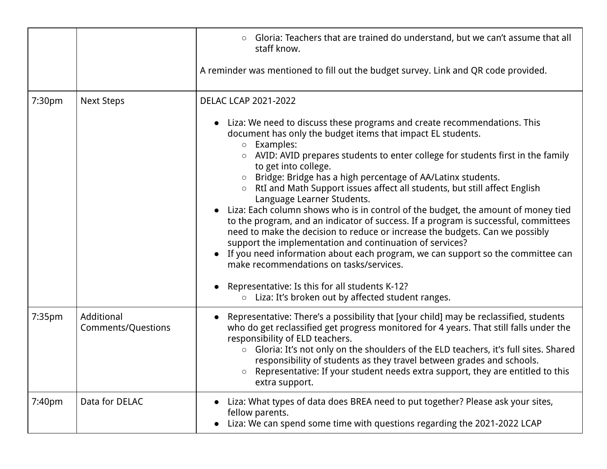|                    |                                         | Gloria: Teachers that are trained do understand, but we can't assume that all<br>$\circ$<br>staff know.<br>A reminder was mentioned to fill out the budget survey. Link and QR code provided.                                                                                                                                                                                                                                                                                                                                                                                                                                                                                                                                                                                                                                                                                                                                                               |
|--------------------|-----------------------------------------|-------------------------------------------------------------------------------------------------------------------------------------------------------------------------------------------------------------------------------------------------------------------------------------------------------------------------------------------------------------------------------------------------------------------------------------------------------------------------------------------------------------------------------------------------------------------------------------------------------------------------------------------------------------------------------------------------------------------------------------------------------------------------------------------------------------------------------------------------------------------------------------------------------------------------------------------------------------|
|                    |                                         |                                                                                                                                                                                                                                                                                                                                                                                                                                                                                                                                                                                                                                                                                                                                                                                                                                                                                                                                                             |
| 7:30 <sub>pm</sub> | <b>Next Steps</b>                       | <b>DELAC LCAP 2021-2022</b>                                                                                                                                                                                                                                                                                                                                                                                                                                                                                                                                                                                                                                                                                                                                                                                                                                                                                                                                 |
|                    |                                         | Liza: We need to discuss these programs and create recommendations. This<br>$\bullet$<br>document has only the budget items that impact EL students.<br>Examples:<br>$\circ$<br>AVID: AVID prepares students to enter college for students first in the family<br>$\circ$<br>to get into college.<br>Bridge: Bridge has a high percentage of AA/Latinx students.<br>RtI and Math Support issues affect all students, but still affect English<br>$\circ$<br>Language Learner Students.<br>• Liza: Each column shows who is in control of the budget, the amount of money tied<br>to the program, and an indicator of success. If a program is successful, committees<br>need to make the decision to reduce or increase the budgets. Can we possibly<br>support the implementation and continuation of services?<br>If you need information about each program, we can support so the committee can<br>$\bullet$<br>make recommendations on tasks/services. |
|                    |                                         | Representative: Is this for all students K-12?<br>$\bullet$<br>Liza: It's broken out by affected student ranges.<br>$\bigcirc$                                                                                                                                                                                                                                                                                                                                                                                                                                                                                                                                                                                                                                                                                                                                                                                                                              |
| 7:35pm             | Additional<br><b>Comments/Questions</b> | Representative: There's a possibility that [your child] may be reclassified, students<br>who do get reclassified get progress monitored for 4 years. That still falls under the<br>responsibility of ELD teachers.<br>Gloria: It's not only on the shoulders of the ELD teachers, it's full sites. Shared<br>$\circ$<br>responsibility of students as they travel between grades and schools.<br>Representative: If your student needs extra support, they are entitled to this<br>extra support.                                                                                                                                                                                                                                                                                                                                                                                                                                                           |
| 7:40pm             | Data for DELAC                          | Liza: What types of data does BREA need to put together? Please ask your sites,<br>fellow parents.<br>Liza: We can spend some time with questions regarding the 2021-2022 LCAP<br>$\bullet$                                                                                                                                                                                                                                                                                                                                                                                                                                                                                                                                                                                                                                                                                                                                                                 |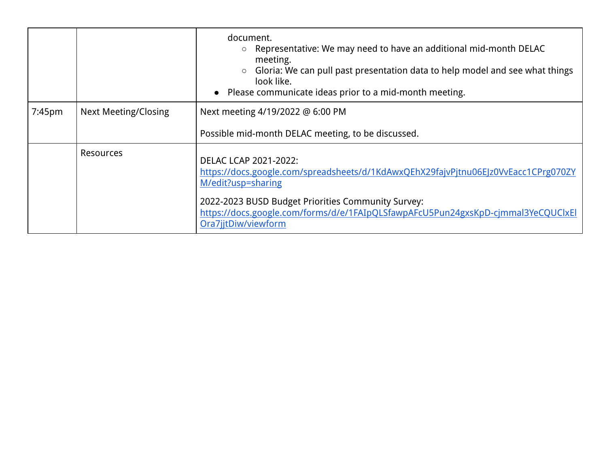|           |                             | document.<br>Representative: We may need to have an additional mid-month DELAC<br>meeting.<br>Gloria: We can pull past presentation data to help model and see what things<br>$\circ$<br>look like.<br>• Please communicate ideas prior to a mid-month meeting. |
|-----------|-----------------------------|-----------------------------------------------------------------------------------------------------------------------------------------------------------------------------------------------------------------------------------------------------------------|
| $7:45$ pm | <b>Next Meeting/Closing</b> | Next meeting 4/19/2022 @ 6:00 PM                                                                                                                                                                                                                                |
|           |                             | Possible mid-month DELAC meeting, to be discussed.                                                                                                                                                                                                              |
|           | Resources                   | <b>DELAC LCAP 2021-2022:</b><br>https://docs.google.com/spreadsheets/d/1KdAwxQEhX29fajvPjtnu06EJz0VvEacc1CPrg070ZY<br>M/edit?usp=sharing                                                                                                                        |
|           |                             | 2022-2023 BUSD Budget Priorities Community Survey:<br>https://docs.google.com/forms/d/e/1FAIpQLSfawpAFcU5Pun24gxsKpD-cjmmal3YeCQUClxEl<br>Ora7jjtDiw/viewform                                                                                                   |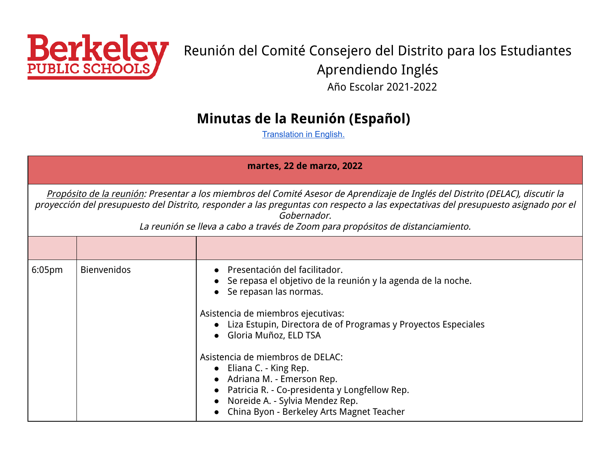<span id="page-6-0"></span>

# Reunión del Comité Consejero del Distrito para los Estudiantes Aprendiendo Inglés Año Escolar 2021-2022

### **Minutas de la Reunión (Español)**

[Translation](#page-0-0) in English.

| martes, 22 de marzo, 2022                                                                                                                                                                                                                                                                                                                                              |                    |                                                                                                                                                                                                                                                                                                                                                                                                                                                                                                 |  |
|------------------------------------------------------------------------------------------------------------------------------------------------------------------------------------------------------------------------------------------------------------------------------------------------------------------------------------------------------------------------|--------------------|-------------------------------------------------------------------------------------------------------------------------------------------------------------------------------------------------------------------------------------------------------------------------------------------------------------------------------------------------------------------------------------------------------------------------------------------------------------------------------------------------|--|
| Propósito de la reunión: Presentar a los miembros del Comité Asesor de Aprendizaje de Inglés del Distrito (DELAC), discutir la<br>proyección del presupuesto del Distrito, responder a las preguntas con respecto a las expectativas del presupuesto asignado por el<br>Gobernador.<br>La reunión se lleva a cabo a través de Zoom para propósitos de distanciamiento. |                    |                                                                                                                                                                                                                                                                                                                                                                                                                                                                                                 |  |
|                                                                                                                                                                                                                                                                                                                                                                        |                    |                                                                                                                                                                                                                                                                                                                                                                                                                                                                                                 |  |
| 6:05 <sub>pm</sub>                                                                                                                                                                                                                                                                                                                                                     | <b>Bienvenidos</b> | Presentación del facilitador.<br>Se repasa el objetivo de la reunión y la agenda de la noche.<br>Se repasan las normas.<br>Asistencia de miembros ejecutivas:<br>Liza Estupin, Directora de of Programas y Proyectos Especiales<br>Gloria Muñoz, ELD TSA<br>Asistencia de miembros de DELAC:<br>$\bullet$ Eliana C. - King Rep.<br>• Adriana M. - Emerson Rep.<br>Patricia R. - Co-presidenta y Longfellow Rep.<br>Noreide A. - Sylvia Mendez Rep.<br>China Byon - Berkeley Arts Magnet Teacher |  |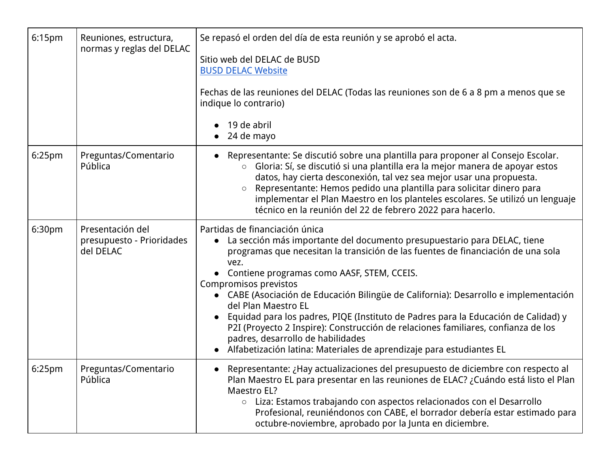| 6:15pm             | Reuniones, estructura,<br>normas y reglas del DELAC        | Se repasó el orden del día de esta reunión y se aprobó el acta.<br>Sitio web del DELAC de BUSD<br><b>BUSD DELAC Website</b><br>Fechas de las reuniones del DELAC (Todas las reuniones son de 6 a 8 pm a menos que se<br>indique lo contrario)<br>19 de abril<br>24 de mayo                                                                                                                                                                                                                                                                                                                                                                                                             |
|--------------------|------------------------------------------------------------|----------------------------------------------------------------------------------------------------------------------------------------------------------------------------------------------------------------------------------------------------------------------------------------------------------------------------------------------------------------------------------------------------------------------------------------------------------------------------------------------------------------------------------------------------------------------------------------------------------------------------------------------------------------------------------------|
| 6:25 <sub>pm</sub> | Preguntas/Comentario<br>Pública                            | Representante: Se discutió sobre una plantilla para proponer al Consejo Escolar.<br>Gloria: Sí, se discutió si una plantilla era la mejor manera de apoyar estos<br>$\bigcirc$<br>datos, hay cierta desconexión, tal vez sea mejor usar una propuesta.<br>Representante: Hemos pedido una plantilla para solicitar dinero para<br>implementar el Plan Maestro en los planteles escolares. Se utilizó un lenguaje<br>técnico en la reunión del 22 de febrero 2022 para hacerlo.                                                                                                                                                                                                         |
| 6:30pm             | Presentación del<br>presupuesto - Prioridades<br>del DELAC | Partidas de financiación única<br>• La sección más importante del documento presupuestario para DELAC, tiene<br>programas que necesitan la transición de las fuentes de financiación de una sola<br>vez.<br>Contiene programas como AASF, STEM, CCEIS.<br>Compromisos previstos<br>• CABE (Asociación de Educación Bilingüe de California): Desarrollo e implementación<br>del Plan Maestro EL<br>Equidad para los padres, PIQE (Instituto de Padres para la Educación de Calidad) y<br>P2I (Proyecto 2 Inspire): Construcción de relaciones familiares, confianza de los<br>padres, desarrollo de habilidades<br>Alfabetización latina: Materiales de aprendizaje para estudiantes EL |
| 6:25pm             | Preguntas/Comentario<br>Pública                            | • Representante: ¿Hay actualizaciones del presupuesto de diciembre con respecto al<br>Plan Maestro EL para presentar en las reuniones de ELAC? ¿Cuándo está listo el Plan<br>Maestro EL?<br>○ Liza: Estamos trabajando con aspectos relacionados con el Desarrollo<br>Profesional, reuniéndonos con CABE, el borrador debería estar estimado para<br>octubre-noviembre, aprobado por la Junta en diciembre.                                                                                                                                                                                                                                                                            |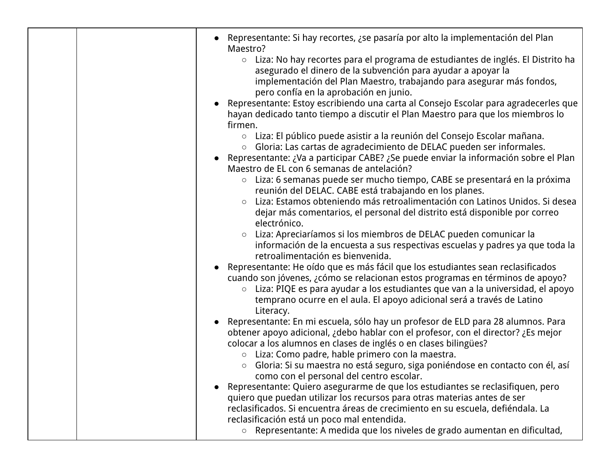| Representante: Si hay recortes, ¿se pasaría por alto la implementación del Plan<br>Maestro?<br>Liza: No hay recortes para el programa de estudiantes de inglés. El Distrito ha<br>$\circ$<br>asegurado el dinero de la subvención para ayudar a apoyar la<br>implementación del Plan Maestro, trabajando para asegurar más fondos,<br>pero confía en la aprobación en junio.<br>• Representante: Estoy escribiendo una carta al Consejo Escolar para agradecerles que<br>hayan dedicado tanto tiempo a discutir el Plan Maestro para que los miembros lo<br>firmen.<br>○ Liza: El público puede asistir a la reunión del Consejo Escolar mañana.<br>Gloria: Las cartas de agradecimiento de DELAC pueden ser informales.<br>$\circ$<br>• Representante: ¿Va a participar CABE? ¿Se puede enviar la información sobre el Plan<br>Maestro de EL con 6 semanas de antelación?<br>Liza: 6 semanas puede ser mucho tiempo, CABE se presentará en la próxima<br>$\circ$<br>reunión del DELAC. CABE está trabajando en los planes.<br>Liza: Estamos obteniendo más retroalimentación con Latinos Unidos. Si desea<br>$\circ$<br>dejar más comentarios, el personal del distrito está disponible por correo<br>electrónico.<br>Liza: Apreciaríamos si los miembros de DELAC pueden comunicar la<br>información de la encuesta a sus respectivas escuelas y padres ya que toda la<br>retroalimentación es bienvenida.<br>Representante: He oído que es más fácil que los estudiantes sean reclasificados<br>cuando son jóvenes, ¿cómo se relacionan estos programas en términos de apoyo?<br>Liza: PIQE es para ayudar a los estudiantes que van a la universidad, el apoyo<br>$\circ$<br>temprano ocurre en el aula. El apoyo adicional será a través de Latino<br>Literacy.<br>• Representante: En mi escuela, sólo hay un profesor de ELD para 28 alumnos. Para<br>obtener apoyo adicional, ¿debo hablar con el profesor, con el director? ¿Es mejor<br>colocar a los alumnos en clases de inglés o en clases bilingües?<br>○ Liza: Como padre, hable primero con la maestra.<br>o Gloria: Si su maestra no está seguro, siga poniéndose en contacto con él, así<br>como con el personal del centro escolar.<br>Representante: Quiero asegurarme de que los estudiantes se reclasifiquen, pero<br>quiero que puedan utilizar los recursos para otras materias antes de ser<br>reclasificados. Si encuentra áreas de crecimiento en su escuela, defiéndala. La |
|---------------------------------------------------------------------------------------------------------------------------------------------------------------------------------------------------------------------------------------------------------------------------------------------------------------------------------------------------------------------------------------------------------------------------------------------------------------------------------------------------------------------------------------------------------------------------------------------------------------------------------------------------------------------------------------------------------------------------------------------------------------------------------------------------------------------------------------------------------------------------------------------------------------------------------------------------------------------------------------------------------------------------------------------------------------------------------------------------------------------------------------------------------------------------------------------------------------------------------------------------------------------------------------------------------------------------------------------------------------------------------------------------------------------------------------------------------------------------------------------------------------------------------------------------------------------------------------------------------------------------------------------------------------------------------------------------------------------------------------------------------------------------------------------------------------------------------------------------------------------------------------------------------------------------------------------------------------------------------------------------------------------------------------------------------------------------------------------------------------------------------------------------------------------------------------------------------------------------------------------------------------------------------------------------------------------------------------------------------------------------------------------------------------------------------------------------------|
| reclasificación está un poco mal entendida.<br>Representante: A medida que los niveles de grado aumentan en dificultad,<br>$\circ$                                                                                                                                                                                                                                                                                                                                                                                                                                                                                                                                                                                                                                                                                                                                                                                                                                                                                                                                                                                                                                                                                                                                                                                                                                                                                                                                                                                                                                                                                                                                                                                                                                                                                                                                                                                                                                                                                                                                                                                                                                                                                                                                                                                                                                                                                                                      |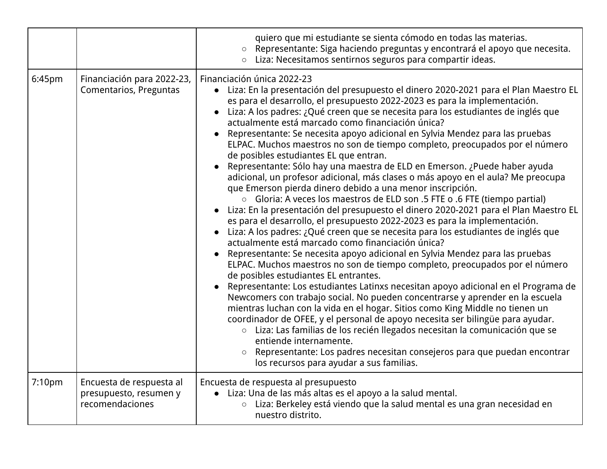|                    |                                                                       | quiero que mi estudiante se sienta cómodo en todas las materias.<br>○ Representante: Siga haciendo preguntas y encontrará el apoyo que necesita.<br>○ Liza: Necesitamos sentirnos seguros para compartir ideas.                                                                                                                                                                                                                                                                                                                                                                                                                                                                                                                                                                                                                                                                                                                                                                                                                                                                                                                                                                                                                                                                                                                                                                                                                                                                                                                                                                                                                                                                                                                                                                                                                                                                                                                                                                                |
|--------------------|-----------------------------------------------------------------------|------------------------------------------------------------------------------------------------------------------------------------------------------------------------------------------------------------------------------------------------------------------------------------------------------------------------------------------------------------------------------------------------------------------------------------------------------------------------------------------------------------------------------------------------------------------------------------------------------------------------------------------------------------------------------------------------------------------------------------------------------------------------------------------------------------------------------------------------------------------------------------------------------------------------------------------------------------------------------------------------------------------------------------------------------------------------------------------------------------------------------------------------------------------------------------------------------------------------------------------------------------------------------------------------------------------------------------------------------------------------------------------------------------------------------------------------------------------------------------------------------------------------------------------------------------------------------------------------------------------------------------------------------------------------------------------------------------------------------------------------------------------------------------------------------------------------------------------------------------------------------------------------------------------------------------------------------------------------------------------------|
| 6:45pm             | Financiación para 2022-23,<br>Comentarios, Preguntas                  | Financiación única 2022-23<br>• Liza: En la presentación del presupuesto el dinero 2020-2021 para el Plan Maestro EL<br>es para el desarrollo, el presupuesto 2022-2023 es para la implementación.<br>• Liza: A los padres: ¿Qué creen que se necesita para los estudiantes de inglés que<br>actualmente está marcado como financiación única?<br>• Representante: Se necesita apoyo adicional en Sylvia Mendez para las pruebas<br>ELPAC. Muchos maestros no son de tiempo completo, preocupados por el número<br>de posibles estudiantes EL que entran.<br>• Representante: Sólo hay una maestra de ELD en Emerson. ¿Puede haber ayuda<br>adicional, un profesor adicional, más clases o más apoyo en el aula? Me preocupa<br>que Emerson pierda dinero debido a una menor inscripción.<br>○ Gloria: A veces los maestros de ELD son .5 FTE o .6 FTE (tiempo partial)<br>· Liza: En la presentación del presupuesto el dinero 2020-2021 para el Plan Maestro EL<br>es para el desarrollo, el presupuesto 2022-2023 es para la implementación.<br>• Liza: A los padres: ¿Qué creen que se necesita para los estudiantes de inglés que<br>actualmente está marcado como financiación única?<br>• Representante: Se necesita apoyo adicional en Sylvia Mendez para las pruebas<br>ELPAC. Muchos maestros no son de tiempo completo, preocupados por el número<br>de posibles estudiantes EL entrantes.<br>• Representante: Los estudiantes Latinxs necesitan apoyo adicional en el Programa de<br>Newcomers con trabajo social. No pueden concentrarse y aprender en la escuela<br>mientras luchan con la vida en el hogar. Sitios como King Middle no tienen un<br>coordinador de OFEE, y el personal de apoyo necesita ser bilingüe para ayudar.<br>○ Liza: Las familias de los recién llegados necesitan la comunicación que se<br>entiende internamente.<br>Representante: Los padres necesitan consejeros para que puedan encontrar<br>$\circ$<br>los recursos para ayudar a sus familias. |
| 7:10 <sub>pm</sub> | Encuesta de respuesta al<br>presupuesto, resumen y<br>recomendaciones | Encuesta de respuesta al presupuesto<br>· Liza: Una de las más altas es el apoyo a la salud mental.<br>Liza: Berkeley está viendo que la salud mental es una gran necesidad en<br>$\circ$<br>nuestro distrito.                                                                                                                                                                                                                                                                                                                                                                                                                                                                                                                                                                                                                                                                                                                                                                                                                                                                                                                                                                                                                                                                                                                                                                                                                                                                                                                                                                                                                                                                                                                                                                                                                                                                                                                                                                                 |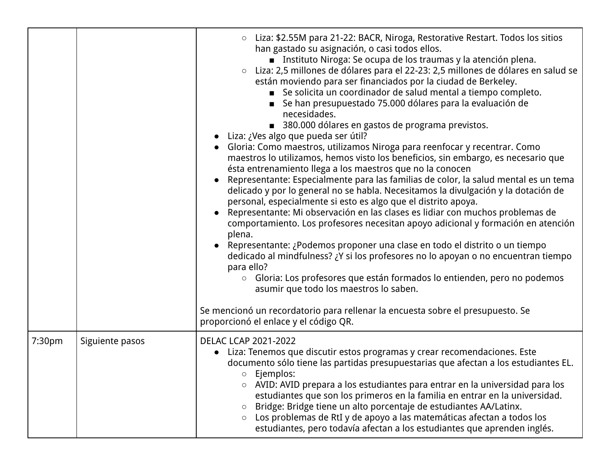|        |                 | Liza: \$2.55M para 21-22: BACR, Niroga, Restorative Restart. Todos los sitios<br>$\circ$<br>han gastado su asignación, o casi todos ellos.<br>■ Instituto Niroga: Se ocupa de los traumas y la atención plena.<br>○ Liza: 2,5 millones de dólares para el 22-23: 2,5 millones de dólares en salud se<br>están moviendo para ser financiados por la ciudad de Berkeley.<br>Se solicita un coordinador de salud mental a tiempo completo.<br>Se han presupuestado 75.000 dólares para la evaluación de<br>necesidades.<br>380.000 dólares en gastos de programa previstos.<br>. Liza: ¿Ves algo que pueda ser útil?<br>Gloria: Como maestros, utilizamos Niroga para reenfocar y recentrar. Como<br>maestros lo utilizamos, hemos visto los beneficios, sin embargo, es necesario que<br>ésta entrenamiento llega a los maestros que no la conocen<br>Representante: Especialmente para las familias de color, la salud mental es un tema<br>delicado y por lo general no se habla. Necesitamos la divulgación y la dotación de<br>personal, especialmente si esto es algo que el distrito apoya.<br>Representante: Mi observación en las clases es lidiar con muchos problemas de<br>comportamiento. Los profesores necesitan apoyo adicional y formación en atención<br>plena.<br>Representante: ¿Podemos proponer una clase en todo el distrito o un tiempo<br>dedicado al mindfulness? ¿Y si los profesores no lo apoyan o no encuentran tiempo<br>para ello?<br>○ Gloria: Los profesores que están formados lo entienden, pero no podemos<br>asumir que todo los maestros lo saben.<br>Se mencionó un recordatorio para rellenar la encuesta sobre el presupuesto. Se<br>proporcionó el enlace y el código QR. |
|--------|-----------------|-------------------------------------------------------------------------------------------------------------------------------------------------------------------------------------------------------------------------------------------------------------------------------------------------------------------------------------------------------------------------------------------------------------------------------------------------------------------------------------------------------------------------------------------------------------------------------------------------------------------------------------------------------------------------------------------------------------------------------------------------------------------------------------------------------------------------------------------------------------------------------------------------------------------------------------------------------------------------------------------------------------------------------------------------------------------------------------------------------------------------------------------------------------------------------------------------------------------------------------------------------------------------------------------------------------------------------------------------------------------------------------------------------------------------------------------------------------------------------------------------------------------------------------------------------------------------------------------------------------------------------------------------------------------------------------------------------------------|
| 7:30pm | Siguiente pasos | <b>DELAC LCAP 2021-2022</b><br>Liza: Tenemos que discutir estos programas y crear recomendaciones. Este<br>documento sólo tiene las partidas presupuestarias que afectan a los estudiantes EL.<br>Ejemplos:<br>$\circlearrowright$<br>AVID: AVID prepara a los estudiantes para entrar en la universidad para los<br>$\circ$<br>estudiantes que son los primeros en la familia en entrar en la universidad.<br>Bridge: Bridge tiene un alto porcentaje de estudiantes AA/Latinx.<br>$\circ$<br>Los problemas de RtI y de apoyo a las matemáticas afectan a todos los<br>$\circ$<br>estudiantes, pero todavía afectan a los estudiantes que aprenden inglés.                                                                                                                                                                                                                                                                                                                                                                                                                                                                                                                                                                                                                                                                                                                                                                                                                                                                                                                                                                                                                                                       |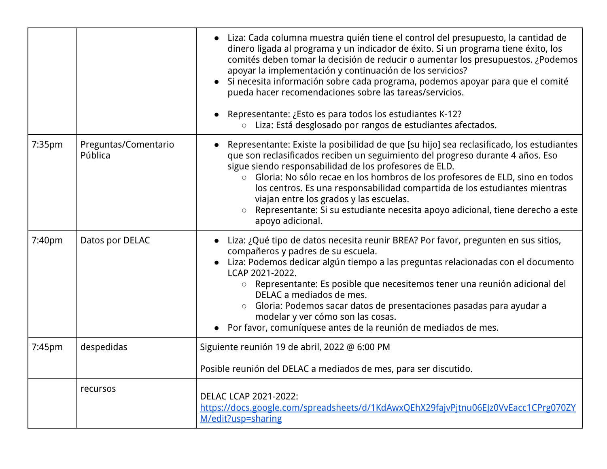|        |                                 | • Liza: Cada columna muestra quién tiene el control del presupuesto, la cantidad de<br>dinero ligada al programa y un indicador de éxito. Si un programa tiene éxito, los<br>comités deben tomar la decisión de reducir o aumentar los presupuestos. ¿Podemos<br>apoyar la implementación y continuación de los servicios?<br>· Si necesita información sobre cada programa, podemos apoyar para que el comité<br>pueda hacer recomendaciones sobre las tareas/servicios.<br>Representante: ¿Esto es para todos los estudiantes K-12?<br>o Liza: Está desglosado por rangos de estudiantes afectados. |
|--------|---------------------------------|-------------------------------------------------------------------------------------------------------------------------------------------------------------------------------------------------------------------------------------------------------------------------------------------------------------------------------------------------------------------------------------------------------------------------------------------------------------------------------------------------------------------------------------------------------------------------------------------------------|
| 7:35pm | Preguntas/Comentario<br>Pública | • Representante: Existe la posibilidad de que [su hijo] sea reclasificado, los estudiantes<br>que son reclasificados reciben un seguimiento del progreso durante 4 años. Eso<br>sigue siendo responsabilidad de los profesores de ELD.<br>○ Gloria: No sólo recae en los hombros de los profesores de ELD, sino en todos<br>los centros. Es una responsabilidad compartida de los estudiantes mientras<br>viajan entre los grados y las escuelas.<br>○ Representante: Si su estudiante necesita apoyo adicional, tiene derecho a este<br>apoyo adicional.                                             |
| 7:40pm | Datos por DELAC                 | • Liza: ¿Qué tipo de datos necesita reunir BREA? Por favor, pregunten en sus sitios,<br>compañeros y padres de su escuela.<br>• Liza: Podemos dedicar algún tiempo a las preguntas relacionadas con el documento<br>LCAP 2021-2022.<br>○ Representante: Es posible que necesitemos tener una reunión adicional del<br>DELAC a mediados de mes.<br>○ Gloria: Podemos sacar datos de presentaciones pasadas para ayudar a<br>modelar y ver cómo son las cosas.<br>• Por favor, comuníquese antes de la reunión de mediados de mes.                                                                      |
| 7:45pm | despedidas                      | Siguiente reunión 19 de abril, 2022 @ 6:00 PM                                                                                                                                                                                                                                                                                                                                                                                                                                                                                                                                                         |
|        |                                 | Posible reunión del DELAC a mediados de mes, para ser discutido.                                                                                                                                                                                                                                                                                                                                                                                                                                                                                                                                      |
|        | recursos                        | <b>DELAC LCAP 2021-2022:</b><br>https://docs.google.com/spreadsheets/d/1KdAwxQEhX29fajvPjtnu06EJz0VvEacc1CPrg070ZY<br>M/edit?usp=sharing                                                                                                                                                                                                                                                                                                                                                                                                                                                              |